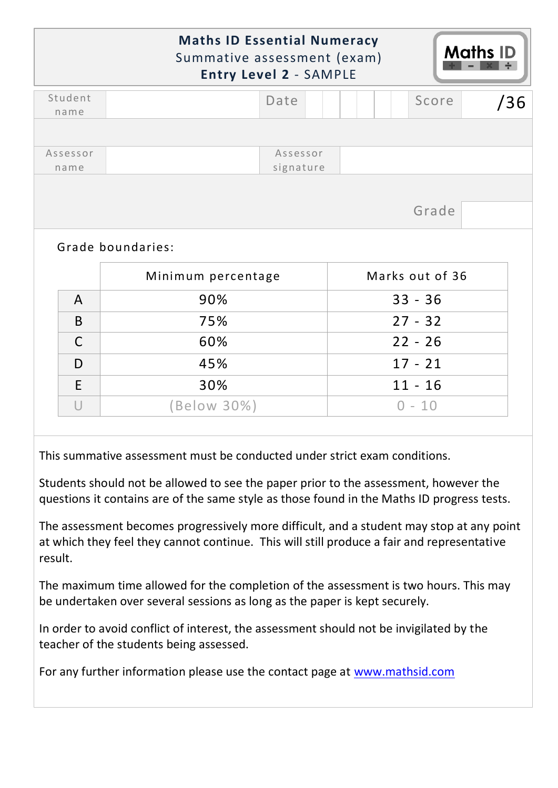|                  | <b>Maths ID Essential Numeracy</b><br>Summative assessment (exam) | <b>Entry Level 2 - SAMPLE</b> |  |                 | <b>Maths ID</b> |
|------------------|-------------------------------------------------------------------|-------------------------------|--|-----------------|-----------------|
| Student<br>name  |                                                                   | Date                          |  | Score           | /36             |
|                  |                                                                   |                               |  |                 |                 |
| Assessor<br>name |                                                                   | Assessor<br>signature         |  |                 |                 |
|                  |                                                                   |                               |  | Grade           |                 |
|                  | Grade boundaries:                                                 |                               |  |                 |                 |
|                  | Minimum percentage                                                |                               |  | Marks out of 36 |                 |
| $\mathsf{A}$     | 90%                                                               |                               |  | $33 - 36$       |                 |
| B                | 75%                                                               |                               |  | $27 - 32$       |                 |
| $\mathsf{C}$     | 60%                                                               |                               |  | $22 - 26$       |                 |
| D                | 45%                                                               |                               |  | $17 - 21$       |                 |
| E                | 30%                                                               |                               |  | $11 - 16$       |                 |

This summative assessment must be conducted under strict exam conditions.

Students should not be allowed to see the paper prior to the assessment, however the questions it contains are of the same style as those found in the Maths ID progress tests.

The assessment becomes progressively more difficult, and a student may stop at any point at which they feel they cannot continue. This will still produce a fair and representative result.

The maximum time allowed for the completion of the assessment is two hours. This may be undertaken over several sessions as long as the paper is kept securely.

In order to avoid conflict of interest, the assessment should not be invigilated by the teacher of the students being assessed.

For any further information please use the contact page at [www.mathsid.com](http://www.mathsid.com/)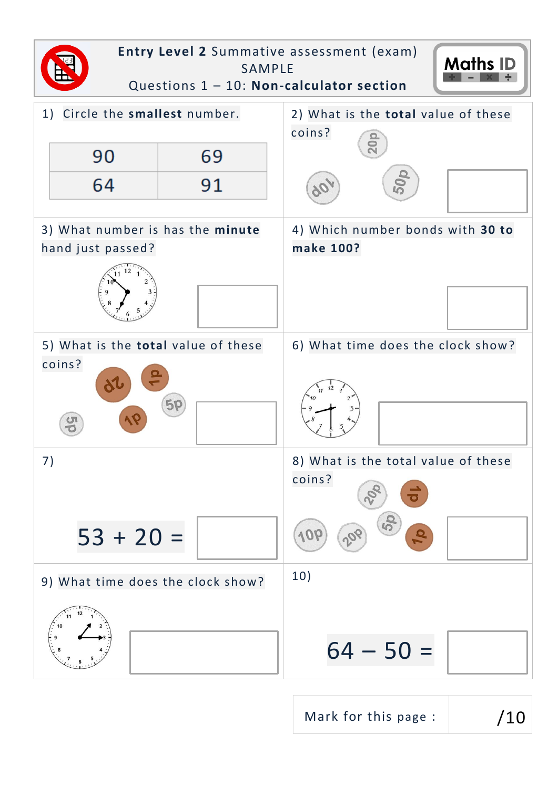

Mark for this page :  $/10$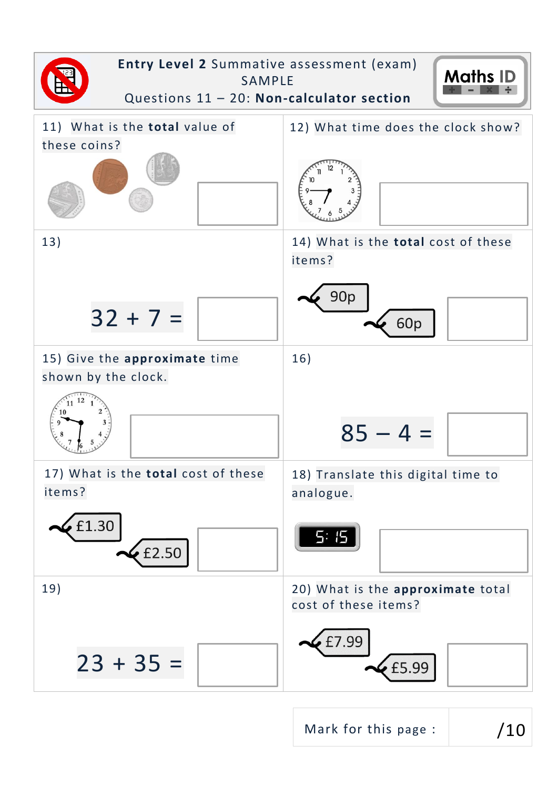

Mark for this page :  $/10$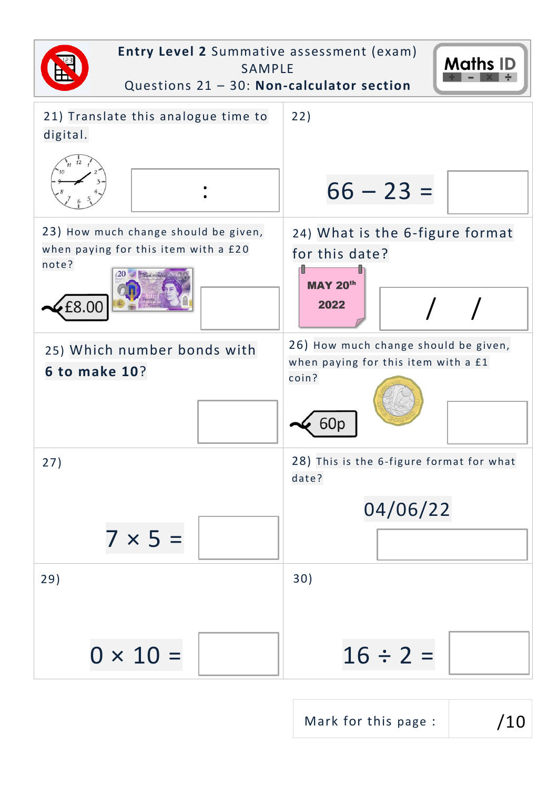

Mark for this page :  $/10$ 

 $\overline{\phantom{a}}$